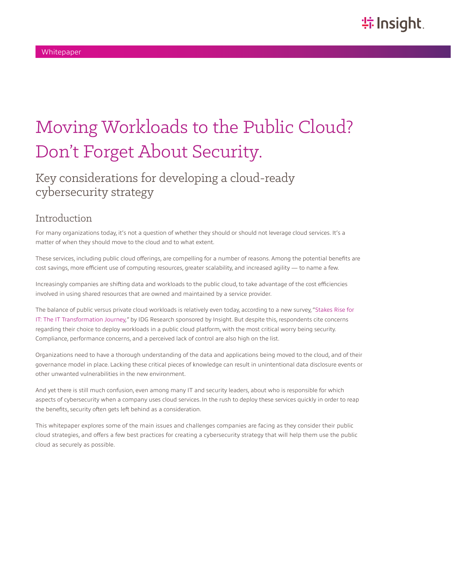# Moving Workloads to the Public Cloud? Don't Forget About Security.

### Key considerations for developing a cloud-ready cybersecurity strategy

### Introduction

For many organizations today, it's not a question of whether they should or should not leverage cloud services. It's a matter of when they should move to the cloud and to what extent.

These services, including public cloud offerings, are compelling for a number of reasons. Among the potential benefits are cost savings, more efficient use of computing resources, greater scalability, and increased agility — to name a few.

Increasingly companies are shifting data and workloads to the public cloud, to take advantage of the cost efficiencies involved in using shared resources that are owned and maintained by a service provider.

The balance of public versus private cloud workloads is relatively even today, according to a new survey, ["Stakes Rise for](https://solutions.insight.com/TransformIT)  [IT: The IT Transformation Journey,](https://solutions.insight.com/TransformIT)" by IDG Research sponsored by Insight. But despite this, respondents cite concerns regarding their choice to deploy workloads in a public cloud platform, with the most critical worry being security. Compliance, performance concerns, and a perceived lack of control are also high on the list.

Organizations need to have a thorough understanding of the data and applications being moved to the cloud, and of their governance model in place. Lacking these critical pieces of knowledge can result in unintentional data disclosure events or other unwanted vulnerabilities in the new environment.

And yet there is still much confusion, even among many IT and security leaders, about who is responsible for which aspects of cybersecurity when a company uses cloud services. In the rush to deploy these services quickly in order to reap the benefits, security often gets left behind as a consideration.

This whitepaper explores some of the main issues and challenges companies are facing as they consider their public cloud strategies, and offers a few best practices for creating a cybersecurity strategy that will help them use the public cloud as securely as possible.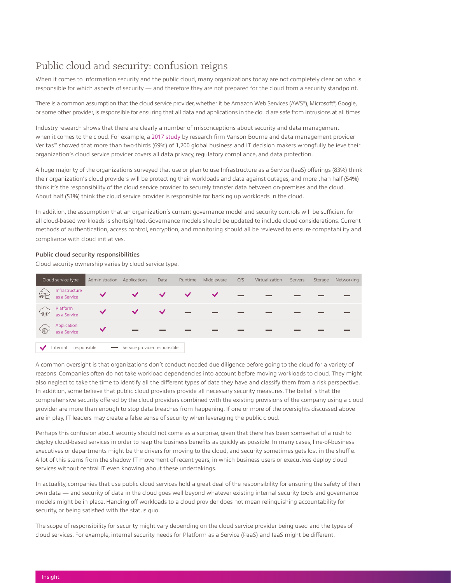### Public cloud and security: confusion reigns

When it comes to information security and the public cloud, many organizations today are not completely clear on who is responsible for which aspects of security — and therefore they are not prepared for the cloud from a security standpoint.

There is a common assumption that the cloud service provider, whether it be Amazon Web Services (AWS®), Microsoft®, Google, or some other provider, is responsible for ensuring that all data and applications in the cloud are safe from intrusions at all times.

Industry research shows that there are clearly a number of misconceptions about security and data management when it comes to the cloud. For example, a [2017 study](https://www.veritas.com/content/dam/Veritas/docs/infographics/Truth-in-Cloud-Infographic-EN.pdf) by research firm Vanson Bourne and data management provider Veritas™ showed that more than two-thirds (69%) of 1,200 global business and IT decision makers wrongfully believe their organization's cloud service provider covers all data privacy, regulatory compliance, and data protection.

A huge majority of the organizations surveyed that use or plan to use Infrastructure as a Service (IaaS) offerings (83%) think their organization's cloud providers will be protecting their workloads and data against outages, and more than half (54%) think it's the responsibility of the cloud service provider to securely transfer data between on-premises and the cloud. About half (51%) think the cloud service provider is responsible for backing up workloads in the cloud.

In addition, the assumption that an organization's current governance model and security controls will be sufficient for all cloud-based workloads is shortsighted. Governance models should be updated to include cloud considerations. Current methods of authentication, access control, encryption, and monitoring should all be reviewed to ensure compatability and compliance with cloud initiatives.

#### **Public cloud security responsibilities**

Cloud security ownership varies by cloud service type.

| Cloud service type   |                                | Administration | Applications                 | Data | Runtime | Middleware | O/S                      | Virtualization | Servers | Storage | Networking |
|----------------------|--------------------------------|----------------|------------------------------|------|---------|------------|--------------------------|----------------|---------|---------|------------|
| $\frac{1}{\sqrt{2}}$ | Infrastructure<br>as a Service | $\checkmark$   |                              |      |         |            | $\overline{\phantom{0}}$ |                |         |         |            |
|                      | Platform<br>as a Service       |                |                              |      | $\sim$  | $\sim$     |                          |                |         |         |            |
| <u>- ලැ</u>          | Application<br>as a Service    | $\checkmark$   |                              |      |         |            |                          |                |         |         |            |
|                      | Internal IT responsible        |                | Service provider responsible |      |         |            |                          |                |         |         |            |

A common oversight is that organizations don't conduct needed due diligence before going to the cloud for a variety of reasons. Companies often do not take workload dependencies into account before moving workloads to cloud. They might also neglect to take the time to identify all the different types of data they have and classify them from a risk perspective. In addition, some believe that public cloud providers provide all necessary security measures. The belief is that the comprehensive security offered by the cloud providers combined with the existing provisions of the company using a cloud provider are more than enough to stop data breaches from happening. If one or more of the oversights discussed above are in play, IT leaders may create a false sense of security when leveraging the public cloud.

Perhaps this confusion about security should not come as a surprise, given that there has been somewhat of a rush to deploy cloud-based services in order to reap the business benefits as quickly as possible. In many cases, line-of-business executives or departments might be the drivers for moving to the cloud, and security sometimes gets lost in the shuffle. A lot of this stems from the shadow IT movement of recent years, in which business users or executives deploy cloud services without central IT even knowing about these undertakings.

In actuality, companies that use public cloud services hold a great deal of the responsibility for ensuring the safety of their own data — and security of data in the cloud goes well beyond whatever existing internal security tools and governance models might be in place. Handing off workloads to a cloud provider does not mean relinquishing accountability for security, or being satisfied with the status quo.

The scope of responsibility for security might vary depending on the cloud service provider being used and the types of cloud services. For example, internal security needs for Platform as a Service (PaaS) and IaaS might be different.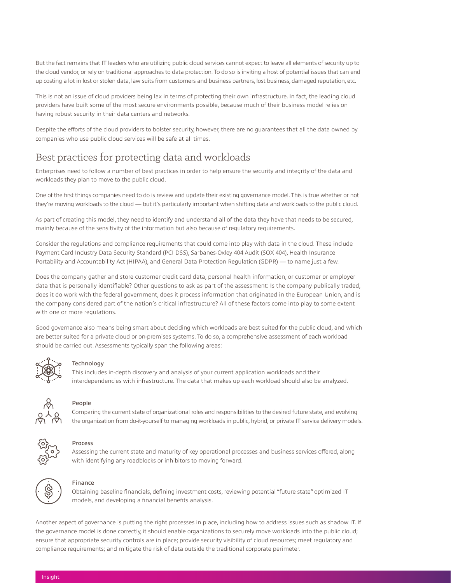But the fact remains that IT leaders who are utilizing public cloud services cannot expect to leave all elements of security up to the cloud vendor, or rely on traditional approaches to data protection. To do so is inviting a host of potential issues that can end up costing a lot in lost or stolen data, law suits from customers and business partners, lost business, damaged reputation, etc.

This is not an issue of cloud providers being lax in terms of protecting their own infrastructure. In fact, the leading cloud providers have built some of the most secure environments possible, because much of their business model relies on having robust security in their data centers and networks.

Despite the efforts of the cloud providers to bolster security, however, there are no guarantees that all the data owned by companies who use public cloud services will be safe at all times.

### Best practices for protecting data and workloads

Enterprises need to follow a number of best practices in order to help ensure the security and integrity of the data and workloads they plan to move to the public cloud.

One of the first things companies need to do is review and update their existing governance model. This is true whether or not they're moving workloads to the cloud — but it's particularly important when shifting data and workloads to the public cloud.

As part of creating this model, they need to identify and understand all of the data they have that needs to be secured, mainly because of the sensitivity of the information but also because of regulatory requirements.

Consider the regulations and compliance requirements that could come into play with data in the cloud. These include Payment Card Industry Data Security Standard (PCI DSS), Sarbanes-Oxley 404 Audit (SOX 404), Health Insurance Portability and Accountability Act (HIPAA), and General Data Protection Regulation (GDPR) — to name just a few.

Does the company gather and store customer credit card data, personal health information, or customer or employer data that is personally identifiable? Other questions to ask as part of the assessment: Is the company publically traded, does it do work with the federal government, does it process information that originated in the European Union, and is the company considered part of the nation's critical infrastructure? All of these factors come into play to some extent with one or more regulations.

Good governance also means being smart about deciding which workloads are best suited for the public cloud, and which are better suited for a private cloud or on-premises systems. To do so, a comprehensive assessment of each workload should be carried out. Assessments typically span the following areas:



#### Technology

This includes in-depth discovery and analysis of your current application workloads and their interdependencies with infrastructure. The data that makes up each workload should also be analyzed.



#### People

Comparing the current state of organizational roles and responsibilities to the desired future state, and evolving the organization from do-it-yourself to managing workloads in public, hybrid, or private IT service delivery models.



#### Process

Assessing the current state and maturity of key operational processes and business services offered, along with identifying any roadblocks or inhibitors to moving forward.



#### Finance

Obtaining baseline financials, defining investment costs, reviewing potential "future state" optimized IT models, and developing a financial benefits analysis.

Another aspect of governance is putting the right processes in place, including how to address issues such as shadow IT. If the governance model is done correctly, it should enable organizations to securely move workloads into the public cloud; ensure that appropriate security controls are in place; provide security visibility of cloud resources; meet regulatory and compliance requirements; and mitigate the risk of data outside the traditional corporate perimeter.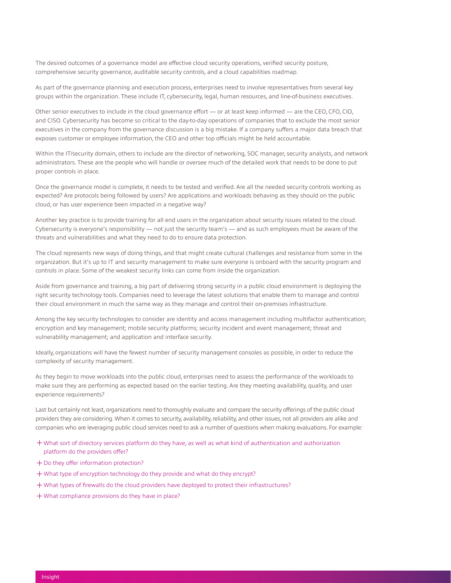The desired outcomes of a governance model are effective cloud security operations, verified security posture, comprehensive security governance, auditable security controls, and a cloud capabilities roadmap.

As part of the governance planning and execution process, enterprises need to involve representatives from several key groups within the organization. These include IT, cybersecurity, legal, human resources, and line-of-business executives.

Other senior executives to include in the cloud governance effort — or at least keep informed — are the CEO, CFO, CIO, and CISO. Cybersecurity has become so critical to the day-to-day operations of companies that to exclude the most senior executives in the company from the governance discussion is a big mistake. If a company suffers a major data breach that exposes customer or employee information, the CEO and other top officials might be held accountable.

Within the IT/security domain, others to include are the director of networking, SOC manager, security analysts, and network administrators. These are the people who will handle or oversee much of the detailed work that needs to be done to put proper controls in place.

Once the governance model is complete, it needs to be tested and verified. Are all the needed security controls working as expected? Are protocols being followed by users? Are applications and workloads behaving as they should on the public cloud, or has user experience been impacted in a negative way?

Another key practice is to provide training for all end users in the organization about security issues related to the cloud. Cybersecurity is everyone's responsibility — not just the security team's — and as such employees must be aware of the threats and vulnerabilities and what they need to do to ensure data protection.

The cloud represents new ways of doing things, and that might create cultural challenges and resistance from some in the organization. But it's up to IT and security management to make sure everyone is onboard with the security program and controls in place. Some of the weakest security links can come from inside the organization.

Aside from governance and training, a big part of delivering strong security in a public cloud environment is deploying the right security technology tools. Companies need to leverage the latest solutions that enable them to manage and control their cloud environment in much the same way as they manage and control their on-premises infrastructure.

Among the key security technologies to consider are identity and access management including multifactor authentication; encryption and key management; mobile security platforms; security incident and event management; threat and vulnerability management; and application and interface security.

Ideally, organizations will have the fewest number of security management consoles as possible, in order to reduce the complexity of security management.

As they begin to move workloads into the public cloud, enterprises need to assess the performance of the workloads to make sure they are performing as expected based on the earlier testing. Are they meeting availability, quality, and user experience requirements?

Last but certainly not least, organizations need to thoroughly evaluate and compare the security offerings of the public cloud providers they are considering. When it comes to security, availability, reliability, and other issues, not all providers are alike and companies who are leveraging public cloud services need to ask a number of questions when making evaluations. For example:

- ͓What sort of directory services platform do they have, as well as what kind of authentication and authorization platform do the providers offer?
- ͓Do they offer information protection?
- ͓What type of encryption technology do they provide and what do they encrypt?
- ͓What types of firewalls do the cloud providers have deployed to protect their infrastructures?
- ͓What compliance provisions do they have in place?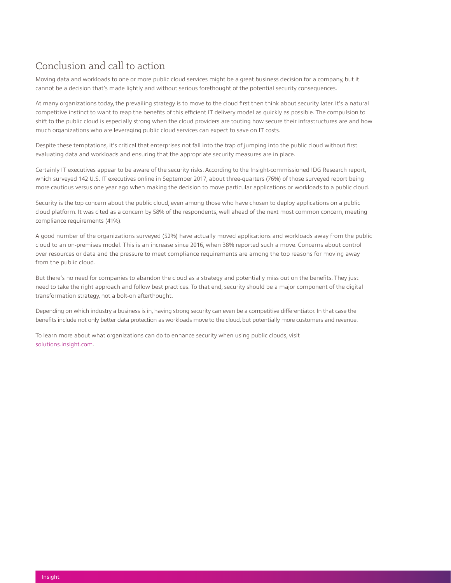### Conclusion and call to action

Moving data and workloads to one or more public cloud services might be a great business decision for a company, but it cannot be a decision that's made lightly and without serious forethought of the potential security consequences.

At many organizations today, the prevailing strategy is to move to the cloud first then think about security later. It's a natural competitive instinct to want to reap the benefits of this efficient IT delivery model as quickly as possible. The compulsion to shift to the public cloud is especially strong when the cloud providers are touting how secure their infrastructures are and how much organizations who are leveraging public cloud services can expect to save on IT costs.

Despite these temptations, it's critical that enterprises not fall into the trap of jumping into the public cloud without first evaluating data and workloads and ensuring that the appropriate security measures are in place.

Certainly IT executives appear to be aware of the security risks. According to the Insight-commissioned IDG Research report, which surveyed 142 U.S. IT executives online in September 2017, about three-quarters (76%) of those surveyed report being more cautious versus one year ago when making the decision to move particular applications or workloads to a public cloud.

Security is the top concern about the public cloud, even among those who have chosen to deploy applications on a public cloud platform. It was cited as a concern by 58% of the respondents, well ahead of the next most common concern, meeting compliance requirements (41%).

A good number of the organizations surveyed (52%) have actually moved applications and workloads away from the public cloud to an on-premises model. This is an increase since 2016, when 38% reported such a move. Concerns about control over resources or data and the pressure to meet compliance requirements are among the top reasons for moving away from the public cloud.

But there's no need for companies to abandon the cloud as a strategy and potentially miss out on the benefits. They just need to take the right approach and follow best practices. To that end, security should be a major component of the digital transformation strategy, not a bolt-on afterthought.

Depending on which industry a business is in, having strong security can even be a competitive differentiator. In that case the benefits include not only better data protection as workloads move to the cloud, but potentially more customers and revenue.

To learn more about what organizations can do to enhance security when using public clouds, visit [solutions.insight.com.](https://solutions.insight.com/Solutions/Security-and-Networking/Security)